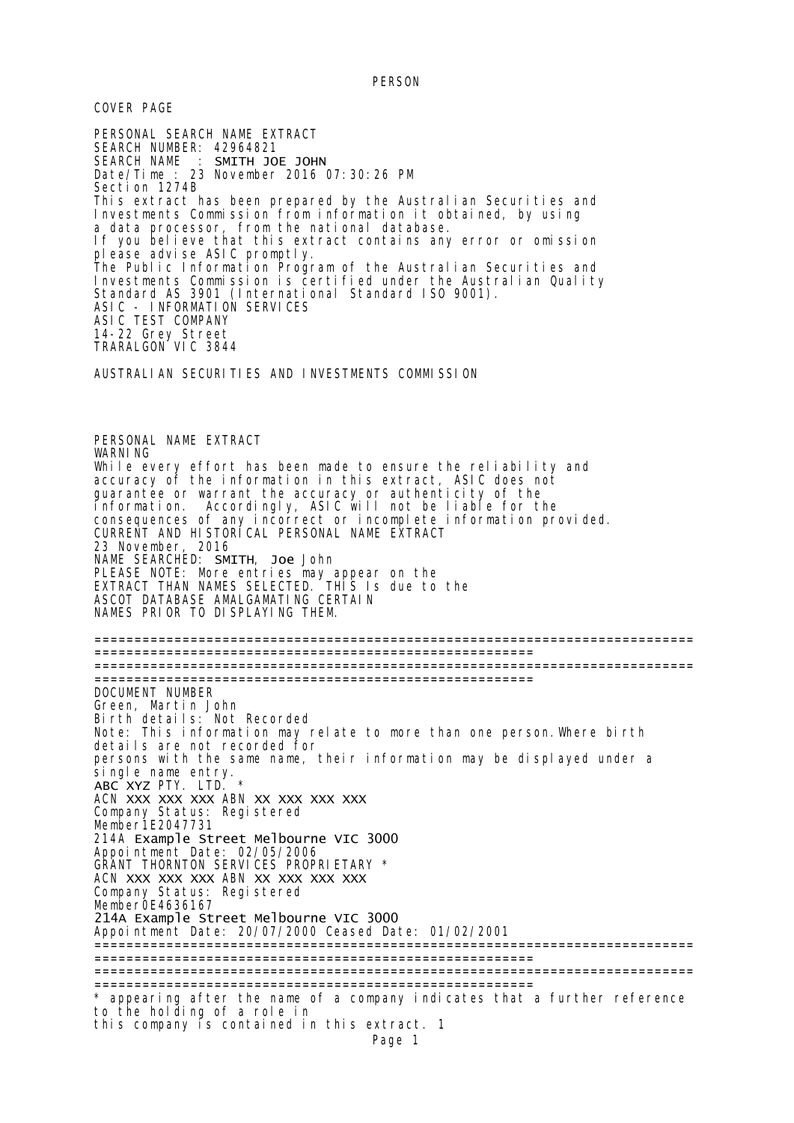PERSON

COVER PAGE

PERSONAL SEARCH NAME EXTRACT SEARCH NUMBER: 42964821 SEARCH NAME : SMITH JOE JOHN Date/Time : 23 November 2016 07:30:26 PM Section 1274B This extract has been prepared by the Australian Securities and Investments Commission from information it obtained, by using a data processor, from the national database. If you believe that this extract contains any error or omission please advise ASIC promptly. The Public Information Program of the Australian Securities and Investments Commission is certified under the Australian Quality Standard AS 3901 (International Standard ISO 9001). ASIC - INFORMATION SERVICES ASIC TEST COMPANY 14-22 Grey Street TRARALGON VIC 3844 AUSTRALIAN SECURITIES AND INVESTMENTS COMMISSION PERSONAL NAME EXTRACT WARNI<sub>NG</sub> While every effort has been made to ensure the reliability and accuracy of the information in this extract, ASIC does not guarantee or warrant the accuracy or authenticity of the information. Accordingly, ASIC will not be liable for the consequences of any incorrect or incomplete information provided. CURRENT AND HISTORICAL PERSONAL NAME EXTRACT 23 November, 2016 NAME SEARCHED: SMITH, Joe John PLEASE NOTE: More entries may appear on the EXTRACT THAN NAMES SELECTED. THIS Is due to the ASCOT DATABASE AMALGAMATING CERTAIN NAMES PRIOR TO DISPLAYING THEM. =========================================================================== ======================================================= =========================================================================== ======================================================= DOCUMENT NUMBER Green, Martin John Birth details: Not Recorded Note: This information may relate to more than one person.Where birth details are not recorded for persons with the same name, their information may be displayed under a single name entry. ABC XYZ PTY. LTD. \* ACN XXX XXX XXX ABN XX XXX XXX XXX Company Status: Registered Member1E2047731 214A Example Street Melbourne VIC 3000 Appointment Date: 02/05/2006 GRANT THORNTON SERVICES PROPRIETARY \* ACN XXX XXX XXX ABN XX XXX XXX XXX Company Status: Registered Member0E4636167 214A Example Street Melbourne VIC 3000 Appointment Date: 20/07/2000 Ceased Date: 01/02/2001 =========================================================================== ======================================================= =========================================================================== ======================================================= \* appearing after the name of a company indicates that a further reference to the holding of a role in this company is contained in this extract. 1 Page 1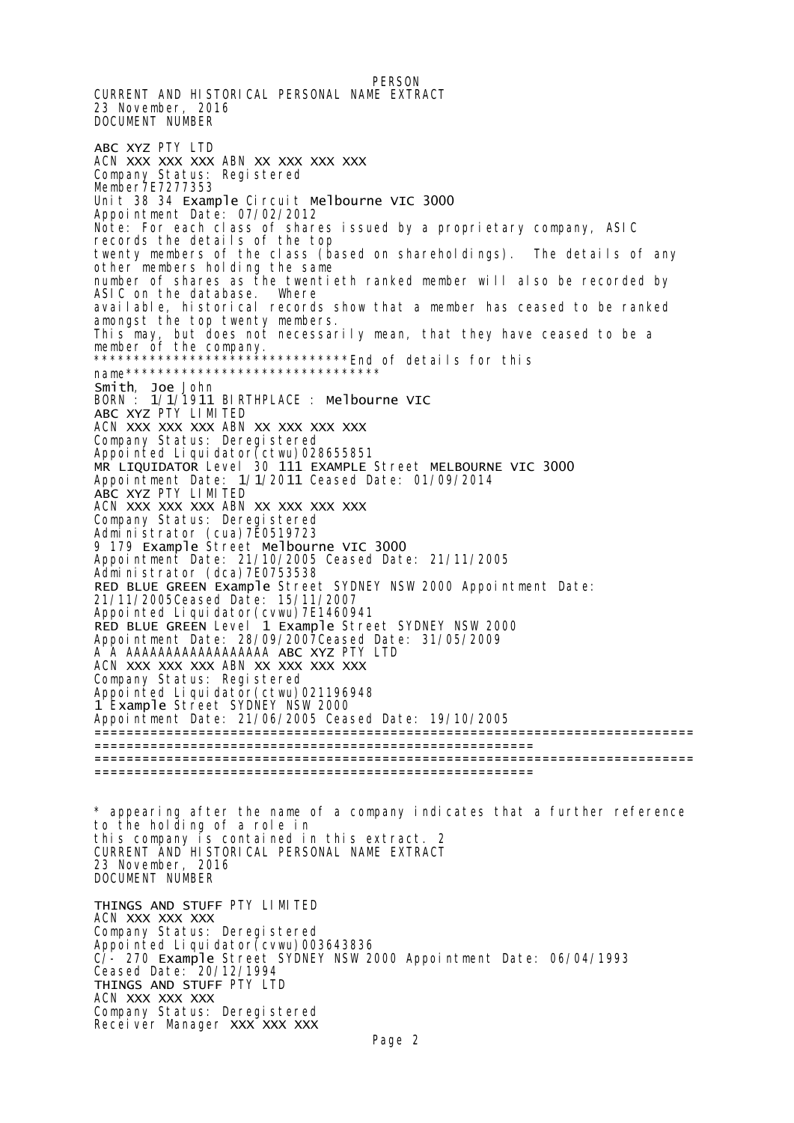PERSON CURRENT AND HISTORICAL PERSONAL NAME EXTRACT 23 November, 2016 DOCUMENT NUMBER ABC XYZ PTY LTD ACN XXX XXX XXX ABN XX XXX XXX XXX Company Status: Registered Member7E7277353 Unit 38 34 Example Circuit Melbourne VIC 3000 Appointment Date: 07/02/2012 Note: For each class of shares issued by a proprietary company, ASIC records the details of the top twenty members of the class (based on shareholdings). The details of any other members holding the same number of shares as the twentieth ranked member will also be recorded by ASIC on the database. Where ASIC on the database. Where available, historical records show that a member has ceased to be ranked amongst the top twenty members. This may, but does not necessarily mean, that they have ceased to be a member of the company. \*\*\*\*\*\*\*\*\*\*\*\*\*\*\*\*\*\*\*\*\*\*\*\*\*\*\*\*\*\*\*\*End of details for this name\*\*\*\*\*\*\*\*\*\*\*\*\*\*\*\*\*\*\*\*\*\*\*\*\*\*\*\*\*\*\*\* Smith, Joe John BORN : 1/1/1911 BIRTHPLACE : Melbourne VIC ABC XYZ PTY LIMITED ACN XXX XXX XXX ABN XX XXX XXX XXX Company Status: Deregistered Appointed Liquidator(ctwu)028655851 MR LIQUIDATOR Level 30 111 EXAMPLE Street MELBOURNE VIC 3000 Appointment Date: 1/1/2011 Ceased Date: 01/09/2014 ABC XYZ PTY LIMITED ACN XXX XXX XXX ABN XX XXX XXX XXX Company Status: Deregistered Administrator (cua)7E0519723 9 179 Example Street Melbourne VIC 3000 Appointment Date: 21/10/2005 Ceased Date: 21/11/2005 Administrator (dca)7E0753538 RED BLUE GREEN Example Street SYDNEY NSW 2000 Appointment Date: 21/11/2005Ceased Date: 15/11/2007 Appointed Liquidator(cvwu)7E1460941 RED BLUE GREEN Level 1 Example Street SYDNEY NSW 2000 Appointment Date: 28/09/2007Ceased Date: 31/05/2009 A A AAAAAAAAAAAAAAAAAA ABC XYZ PTY LTD ACN XXX XXX XXX ABN XX XXX XXX XXX Company Status: Registered Appointed Liquidator(ctwu)021196948 1 Example Street SYDNEY NSW 2000 Appointment Date: 21/06/2005 Ceased Date: 19/10/2005 =========================================================================== ======================================================= =========================================================================== ======================================================= \* appearing after the name of a company indicates that a further reference to the holding of a role in this company is contained in this extract. 2 CURRENT AND HISTORICAL PERSONAL NAME EXTRACT 23 November, 2016 DOCUMENT NUMBER THINGS AND STUFF PTY LIMITED ACN XXX XXX XXX Company Status: Deregistered Appointed Liquidator(cvwu)003643836 C/- 270 Example Street SYDNEY NSW 2000 Appointment Date: 06/04/1993 Ceased Date: 20/12/1994 THINGS AND STUFF PTY LTD ACN XXX XXX XXX Company Status: Deregistered

Receiver Manager XXX XXX XXX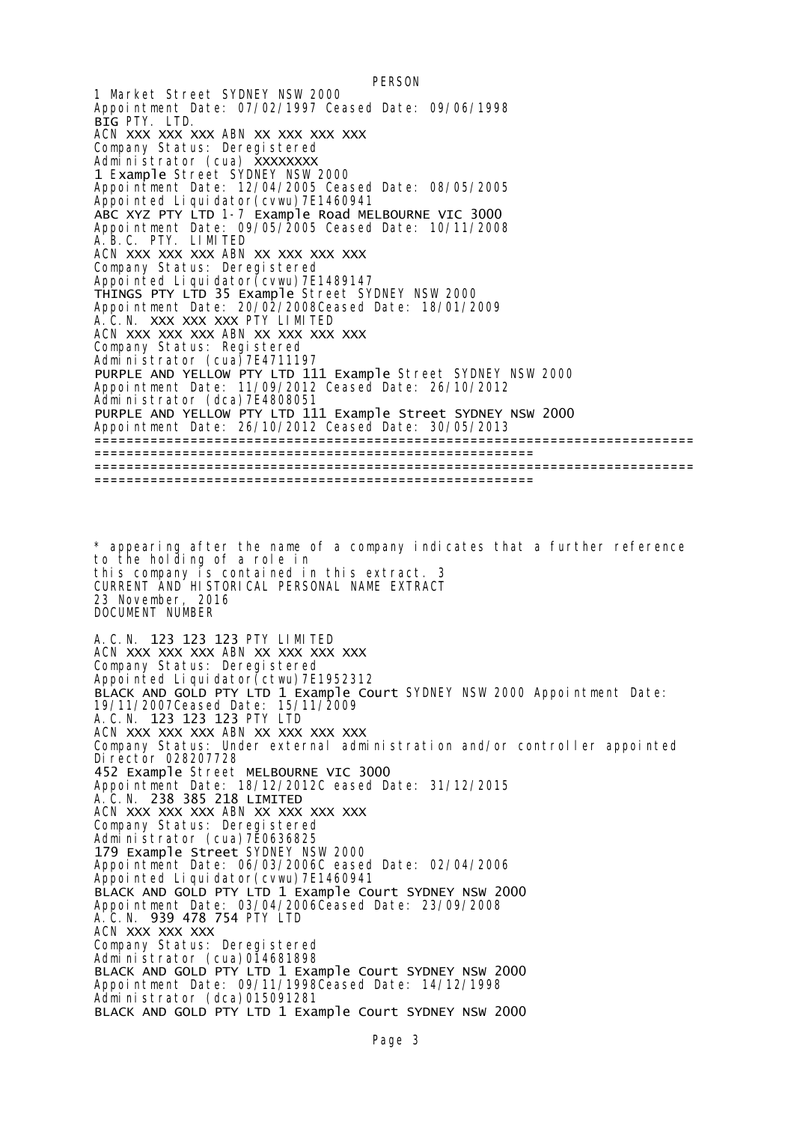**PERSON** 1 Market Street SYDNEY NSW 2000 Appointment Date: 07/02/1997 Ceased Date: 09/06/1998 BIG PTY. LTD. ACN XXX XXX XXX ABN XX XXX XXX XXX Company Status: Deregistered Administrator (cua) XXXXXXXX 1 Example Street SYDNEY NSW 2000 Appointment Date: 12/04/2005 Ceased Date: 08/05/2005 Appointed Liquidator(cvwu)7E1460941 ABC XYZ PTY LTD 1-7 Example Road MELBOURNE VIC 3000 Appointment Date: 09/05/2005 Ceased Date: 10/11/2008 A.B.C. PTY. LIMITED ACN XXX XXX XXX ABN XX XXX XXX XXX Company Status: Deregistered Appointed Liquidator(cvwu)7E1489147 THINGS PTY LTD 35 Example Street SYDNEY NSW 2000 Appointment Date: 20/02/2008Ceased Date: 18/01/2009 A.C.N. XXX XXX XXX PTY LIMITED ACN XXX XXX XXX ABN XX XXX XXX XXX Company Status: Registered Administrator (cua)7E4711197 PURPLE AND YELLOW PTY LTD 111 Example Street SYDNEY NSW 2000 Appointment Date: 11/09/2012 Ceased Date: 26/10/2012 Administrator (dca)7E4808051 PURPLE AND YELLOW PTY LTD 111 Example Street SYDNEY NSW 2000 Appointment Date: 26/10/2012 Ceased Date: 30/05/2013 =========================================================================== ======================================================= =========================================================================== ======================================================= \* appearing after the name of a company indicates that a further reference to the holding of a role in this company is contained in this extract. 3 CURRENT AND HISTORICAL PERSONAL NAME EXTRACT 23 November, 2016 DOCUMENT NUMBER A.C.N. 123 123 123 PTY LIMITED ACN XXX XXX XXX ABN XX XXX XXX XXX Company Status: Deregistered Appointed Liquidator(ctwu)7E1952312 BLACK AND GOLD PTY LTD 1 Example Court SYDNEY NSW 2000 Appointment Date: 19/11/2007Ceased Date: 15/11/2009 A.C.N. 123 123 123 PTY LTD ACN XXX XXX XXX ABN XX XXX XXX XXX Company Status: Under external administration and/or controller appointed Director 028207728 452 Example Street MELBOURNE VIC 3000 Appointment Date: 18/12/2012C eased Date: 31/12/2015 A.C.N. 238 385 218 LIMITED ACN XXX XXX XXX ABN XX XXX XXX XXX Company Status: Deregistered Administrator (cua)7E0636825 179 Example Street SYDNEY NSW 2000 Appointment Date: 06/03/2006C eased Date: 02/04/2006 Appointed Liquidator(cvwu)7E1460941 BLACK AND GOLD PTY LTD 1 Example Court SYDNEY NSW 2000 Appointment Date: 03/04/2006Ceased Date: 23/09/2008 A.C.N. 939 478 754 PTY LTD ACN XXX XXX XXX Company Status: Deregistered Administrator (cua)014681898 BLACK AND GOLD PTY LTD 1 Example Court SYDNEY NSW 2000 Appointment Date: 09/11/1998Ceased Date: 14/12/1998 Administrator (dca)015091281 BLACK AND GOLD PTY LTD 1 Example Court SYDNEY NSW 2000